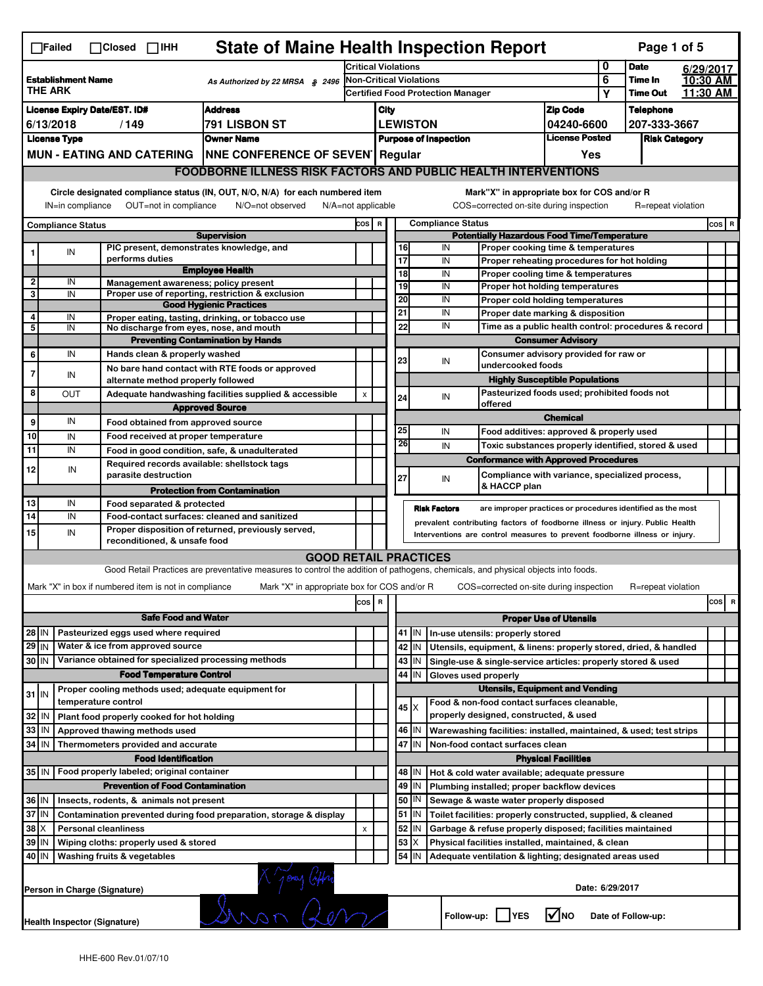|                                                                                                                                                                       | <b>State of Maine Health Inspection Report</b><br>Page 1 of 5<br>$\Box$ Failed<br>$\Box$ Closed $\Box$ IHH                                                                         |                                                       |                                                                                                                                   |                         |                                                        |                                          |          |                                                                                        |                                                                                           |                 |                      |          |           |
|-----------------------------------------------------------------------------------------------------------------------------------------------------------------------|------------------------------------------------------------------------------------------------------------------------------------------------------------------------------------|-------------------------------------------------------|-----------------------------------------------------------------------------------------------------------------------------------|-------------------------|--------------------------------------------------------|------------------------------------------|----------|----------------------------------------------------------------------------------------|-------------------------------------------------------------------------------------------|-----------------|----------------------|----------|-----------|
|                                                                                                                                                                       |                                                                                                                                                                                    |                                                       |                                                                                                                                   |                         | <b>Critical Violations</b>                             |                                          |          |                                                                                        |                                                                                           |                 | <b>Date</b>          |          | 6/29/2017 |
| <b>Establishment Name</b><br>As Authorized by 22 MRSA $$$ 2496<br><b>THE ARK</b>                                                                                      |                                                                                                                                                                                    |                                                       |                                                                                                                                   | Non-Critical Violations |                                                        |                                          |          |                                                                                        | 6<br>Υ                                                                                    | Time In         |                      | 10:30 AM |           |
|                                                                                                                                                                       |                                                                                                                                                                                    |                                                       |                                                                                                                                   |                         |                                                        | <b>Certified Food Protection Manager</b> |          |                                                                                        |                                                                                           |                 | <b>Time Out</b>      |          | 11:30 AM  |
| <b>License Expiry Date/EST. ID#</b><br><b>Address</b>                                                                                                                 |                                                                                                                                                                                    |                                                       |                                                                                                                                   |                         | City                                                   |                                          |          |                                                                                        | <b>Zip Code</b>                                                                           |                 | <b>Telephone</b>     |          |           |
| 6/13/2018<br>/149<br>791 LISBON ST                                                                                                                                    |                                                                                                                                                                                    |                                                       |                                                                                                                                   |                         | <b>LEWISTON</b><br>04240-6600<br><b>License Posted</b> |                                          |          |                                                                                        |                                                                                           |                 | 207-333-3667         |          |           |
|                                                                                                                                                                       | <b>License Type</b>                                                                                                                                                                |                                                       | <b>Owner Name</b>                                                                                                                 |                         |                                                        | <b>Purpose of Inspection</b><br>Yes      |          |                                                                                        |                                                                                           |                 | <b>Risk Category</b> |          |           |
|                                                                                                                                                                       |                                                                                                                                                                                    |                                                       | MUN - EATING AND CATERING   NNE CONFERENCE OF SEVEN   Regular                                                                     |                         |                                                        |                                          |          |                                                                                        |                                                                                           |                 |                      |          |           |
|                                                                                                                                                                       | <b>FOODBORNE ILLNESS RISK FACTORS AND PUBLIC HEALTH INTERVENTIONS</b>                                                                                                              |                                                       |                                                                                                                                   |                         |                                                        |                                          |          |                                                                                        |                                                                                           |                 |                      |          |           |
| Circle designated compliance status (IN, OUT, N/O, N/A) for each numbered item<br>IN=in compliance<br>OUT=not in compliance<br>N/O=not observed<br>N/A=not applicable |                                                                                                                                                                                    |                                                       |                                                                                                                                   |                         |                                                        |                                          |          | Mark"X" in appropriate box for COS and/or R<br>COS=corrected on-site during inspection |                                                                                           |                 | R=repeat violation   |          |           |
|                                                                                                                                                                       | <b>Compliance Status</b>                                                                                                                                                           |                                                       |                                                                                                                                   |                         | COS R                                                  |                                          |          | <b>Compliance Status</b>                                                               |                                                                                           |                 |                      |          | COS R     |
| <b>Supervision</b>                                                                                                                                                    |                                                                                                                                                                                    |                                                       |                                                                                                                                   |                         | <b>Potentially Hazardous Food Time/Temperature</b>     |                                          |          |                                                                                        |                                                                                           |                 |                      |          |           |
|                                                                                                                                                                       | IN                                                                                                                                                                                 | PIC present, demonstrates knowledge, and              |                                                                                                                                   |                         |                                                        |                                          | 16       | IN                                                                                     | Proper cooking time & temperatures                                                        |                 |                      |          |           |
|                                                                                                                                                                       |                                                                                                                                                                                    | performs duties                                       | <b>Employee Health</b>                                                                                                            |                         |                                                        |                                          | 17<br>18 | IN<br>IN                                                                               | Proper reheating procedures for hot holding<br>Proper cooling time & temperatures         |                 |                      |          |           |
| $\overline{\mathbf{2}}$                                                                                                                                               | IN                                                                                                                                                                                 | Management awareness; policy present                  |                                                                                                                                   |                         |                                                        |                                          | 19       | IN                                                                                     | Proper hot holding temperatures                                                           |                 |                      |          |           |
| 3                                                                                                                                                                     | IN                                                                                                                                                                                 |                                                       | Proper use of reporting, restriction & exclusion                                                                                  |                         |                                                        |                                          | 20       | IN                                                                                     | Proper cold holding temperatures                                                          |                 |                      |          |           |
|                                                                                                                                                                       |                                                                                                                                                                                    |                                                       | <b>Good Hygienic Practices</b>                                                                                                    |                         |                                                        |                                          | 21       | IN                                                                                     |                                                                                           |                 |                      |          |           |
| 4<br>5                                                                                                                                                                | IN<br>IN                                                                                                                                                                           | No discharge from eyes, nose, and mouth               | Proper eating, tasting, drinking, or tobacco use                                                                                  |                         |                                                        |                                          | 22       | IN                                                                                     | Proper date marking & disposition<br>Time as a public health control: procedures & record |                 |                      |          |           |
|                                                                                                                                                                       |                                                                                                                                                                                    |                                                       | <b>Preventing Contamination by Hands</b>                                                                                          |                         |                                                        |                                          |          |                                                                                        | <b>Consumer Advisory</b>                                                                  |                 |                      |          |           |
| 6                                                                                                                                                                     | IN                                                                                                                                                                                 | Hands clean & properly washed                         |                                                                                                                                   |                         |                                                        |                                          |          |                                                                                        | Consumer advisory provided for raw or                                                     |                 |                      |          |           |
|                                                                                                                                                                       |                                                                                                                                                                                    |                                                       | No bare hand contact with RTE foods or approved                                                                                   |                         |                                                        |                                          | 23       | IN<br>undercooked foods                                                                |                                                                                           |                 |                      |          |           |
| 7                                                                                                                                                                     | IN                                                                                                                                                                                 | alternate method properly followed                    |                                                                                                                                   |                         |                                                        |                                          |          |                                                                                        | <b>Highly Susceptible Populations</b>                                                     |                 |                      |          |           |
| 8                                                                                                                                                                     | <b>OUT</b>                                                                                                                                                                         |                                                       | Adequate handwashing facilities supplied & accessible                                                                             | X                       |                                                        |                                          | 24       | IN                                                                                     | Pasteurized foods used; prohibited foods not                                              |                 |                      |          |           |
|                                                                                                                                                                       |                                                                                                                                                                                    |                                                       | <b>Approved Source</b>                                                                                                            |                         |                                                        |                                          |          | offered                                                                                |                                                                                           |                 |                      |          |           |
| 9                                                                                                                                                                     | IN                                                                                                                                                                                 | Food obtained from approved source                    |                                                                                                                                   |                         |                                                        |                                          |          |                                                                                        | <b>Chemical</b>                                                                           |                 |                      |          |           |
| 10                                                                                                                                                                    | IN                                                                                                                                                                                 | Food received at proper temperature                   |                                                                                                                                   |                         |                                                        |                                          | 25       | IN                                                                                     | Food additives: approved & properly used                                                  |                 |                      |          |           |
| 11                                                                                                                                                                    | IN                                                                                                                                                                                 |                                                       | Food in good condition, safe, & unadulterated                                                                                     |                         |                                                        |                                          | 26       | IN                                                                                     | Toxic substances properly identified, stored & used                                       |                 |                      |          |           |
| 12                                                                                                                                                                    | IN                                                                                                                                                                                 | Required records available: shellstock tags           |                                                                                                                                   |                         |                                                        |                                          |          | <b>Conformance with Approved Procedures</b>                                            |                                                                                           |                 |                      |          |           |
|                                                                                                                                                                       |                                                                                                                                                                                    | parasite destruction                                  |                                                                                                                                   |                         |                                                        |                                          | 27       | IN<br>& HACCP plan                                                                     | Compliance with variance, specialized process,                                            |                 |                      |          |           |
|                                                                                                                                                                       | IN                                                                                                                                                                                 |                                                       | <b>Protection from Contamination</b>                                                                                              |                         |                                                        |                                          |          |                                                                                        |                                                                                           |                 |                      |          |           |
| 13<br>14                                                                                                                                                              | IN                                                                                                                                                                                 | Food separated & protected                            |                                                                                                                                   |                         |                                                        |                                          |          | <b>Risk Factors</b>                                                                    | are improper practices or procedures identified as the most                               |                 |                      |          |           |
|                                                                                                                                                                       | Food-contact surfaces: cleaned and sanitized<br>prevalent contributing factors of foodborne illness or injury. Public Health<br>Proper disposition of returned, previously served, |                                                       |                                                                                                                                   |                         |                                                        |                                          |          |                                                                                        |                                                                                           |                 |                      |          |           |
| 15                                                                                                                                                                    | IN                                                                                                                                                                                 | reconditioned, & unsafe food                          |                                                                                                                                   |                         |                                                        |                                          |          | Interventions are control measures to prevent foodborne illness or injury.             |                                                                                           |                 |                      |          |           |
|                                                                                                                                                                       |                                                                                                                                                                                    |                                                       | <b>GOOD RETAIL PRACTICES</b>                                                                                                      |                         |                                                        |                                          |          |                                                                                        |                                                                                           |                 |                      |          |           |
|                                                                                                                                                                       |                                                                                                                                                                                    |                                                       | Good Retail Practices are preventative measures to control the addition of pathogens, chemicals, and physical objects into foods. |                         |                                                        |                                          |          |                                                                                        |                                                                                           |                 |                      |          |           |
|                                                                                                                                                                       |                                                                                                                                                                                    | Mark "X" in box if numbered item is not in compliance | Mark "X" in appropriate box for COS and/or R                                                                                      |                         |                                                        |                                          |          | COS=corrected on-site during inspection                                                |                                                                                           |                 | R=repeat violation   |          |           |
|                                                                                                                                                                       |                                                                                                                                                                                    |                                                       |                                                                                                                                   | cos                     | R                                                      |                                          |          |                                                                                        |                                                                                           |                 |                      |          | cos<br>R  |
|                                                                                                                                                                       | <b>Safe Food and Water</b>                                                                                                                                                         |                                                       |                                                                                                                                   |                         |                                                        |                                          |          |                                                                                        | <b>Proper Use of Utensils</b>                                                             |                 |                      |          |           |
| 28 IN                                                                                                                                                                 |                                                                                                                                                                                    | Pasteurized eggs used where required                  |                                                                                                                                   |                         |                                                        |                                          | 41   IN  | In-use utensils: properly stored                                                       |                                                                                           |                 |                      |          |           |
| 29 IN                                                                                                                                                                 |                                                                                                                                                                                    | Water & ice from approved source                      |                                                                                                                                   |                         |                                                        |                                          | 42 IN    | Utensils, equipment, & linens: properly stored, dried, & handled                       |                                                                                           |                 |                      |          |           |
| $30$ IN                                                                                                                                                               |                                                                                                                                                                                    | Variance obtained for specialized processing methods  |                                                                                                                                   |                         |                                                        |                                          | 43 IN    | Single-use & single-service articles: properly stored & used                           |                                                                                           |                 |                      |          |           |
|                                                                                                                                                                       |                                                                                                                                                                                    | <b>Food Temperature Control</b>                       |                                                                                                                                   |                         |                                                        |                                          | 44<br>IN | Gloves used properly                                                                   |                                                                                           |                 |                      |          |           |
|                                                                                                                                                                       |                                                                                                                                                                                    | Proper cooling methods used; adequate equipment for   |                                                                                                                                   |                         |                                                        |                                          |          |                                                                                        | <b>Utensils, Equipment and Vending</b>                                                    |                 |                      |          |           |
| $31$ IN                                                                                                                                                               |                                                                                                                                                                                    | temperature control                                   |                                                                                                                                   |                         |                                                        |                                          |          | Food & non-food contact surfaces cleanable,                                            |                                                                                           |                 |                      |          |           |
| 32                                                                                                                                                                    | IN                                                                                                                                                                                 | Plant food properly cooked for hot holding            |                                                                                                                                   |                         |                                                        |                                          | 45   X   | properly designed, constructed, & used                                                 |                                                                                           |                 |                      |          |           |
| 33                                                                                                                                                                    | IN                                                                                                                                                                                 | Approved thawing methods used                         |                                                                                                                                   |                         |                                                        |                                          | 46   IN  | Warewashing facilities: installed, maintained, & used; test strips                     |                                                                                           |                 |                      |          |           |
| 34                                                                                                                                                                    | IN                                                                                                                                                                                 | Thermometers provided and accurate                    |                                                                                                                                   |                         |                                                        |                                          | 47 IN    | Non-food contact surfaces clean                                                        |                                                                                           |                 |                      |          |           |
|                                                                                                                                                                       |                                                                                                                                                                                    | <b>Food Identification</b>                            |                                                                                                                                   |                         |                                                        |                                          |          |                                                                                        | <b>Physical Facilities</b>                                                                |                 |                      |          |           |
| $35$ IN                                                                                                                                                               |                                                                                                                                                                                    | Food properly labeled; original container             |                                                                                                                                   |                         |                                                        |                                          | 48   IN  | Hot & cold water available; adequate pressure                                          |                                                                                           |                 |                      |          |           |
|                                                                                                                                                                       |                                                                                                                                                                                    | <b>Prevention of Food Contamination</b>               |                                                                                                                                   |                         |                                                        |                                          | 49 IN    | Plumbing installed; proper backflow devices                                            |                                                                                           |                 |                      |          |           |
|                                                                                                                                                                       | 36 IN<br>50 J IN<br>Insects, rodents, & animals not present<br>Sewage & waste water properly disposed                                                                              |                                                       |                                                                                                                                   |                         |                                                        |                                          |          |                                                                                        |                                                                                           |                 |                      |          |           |
| 37<br>IN<br>Contamination prevented during food preparation, storage & display                                                                                        |                                                                                                                                                                                    |                                                       |                                                                                                                                   |                         |                                                        |                                          | 51<br>IN | Toilet facilities: properly constructed, supplied, & cleaned                           |                                                                                           |                 |                      |          |           |
| 38                                                                                                                                                                    | X                                                                                                                                                                                  | <b>Personal cleanliness</b>                           |                                                                                                                                   | X                       |                                                        |                                          | 52 IN    | Garbage & refuse properly disposed; facilities maintained                              |                                                                                           |                 |                      |          |           |
| 39                                                                                                                                                                    | IN                                                                                                                                                                                 | Wiping cloths: properly used & stored                 |                                                                                                                                   |                         |                                                        |                                          | 53<br>X  | Physical facilities installed, maintained, & clean                                     |                                                                                           |                 |                      |          |           |
| 40 IN                                                                                                                                                                 |                                                                                                                                                                                    | Washing fruits & vegetables                           |                                                                                                                                   |                         |                                                        |                                          | 54 J IN  | Adequate ventilation & lighting; designated areas used                                 |                                                                                           |                 |                      |          |           |
|                                                                                                                                                                       |                                                                                                                                                                                    |                                                       |                                                                                                                                   |                         |                                                        |                                          |          |                                                                                        |                                                                                           |                 |                      |          |           |
|                                                                                                                                                                       |                                                                                                                                                                                    | Person in Charge (Signature)                          |                                                                                                                                   |                         |                                                        |                                          |          |                                                                                        |                                                                                           | Date: 6/29/2017 |                      |          |           |
|                                                                                                                                                                       |                                                                                                                                                                                    |                                                       | N'Iones Giffri                                                                                                                    |                         |                                                        |                                          |          | Follow-up: YES                                                                         | $\sqrt{ }$ NO                                                                             |                 | Date of Follow-up:   |          |           |
|                                                                                                                                                                       | <b>Health Inspector (Signature)</b>                                                                                                                                                |                                                       |                                                                                                                                   |                         |                                                        |                                          |          |                                                                                        |                                                                                           |                 |                      |          |           |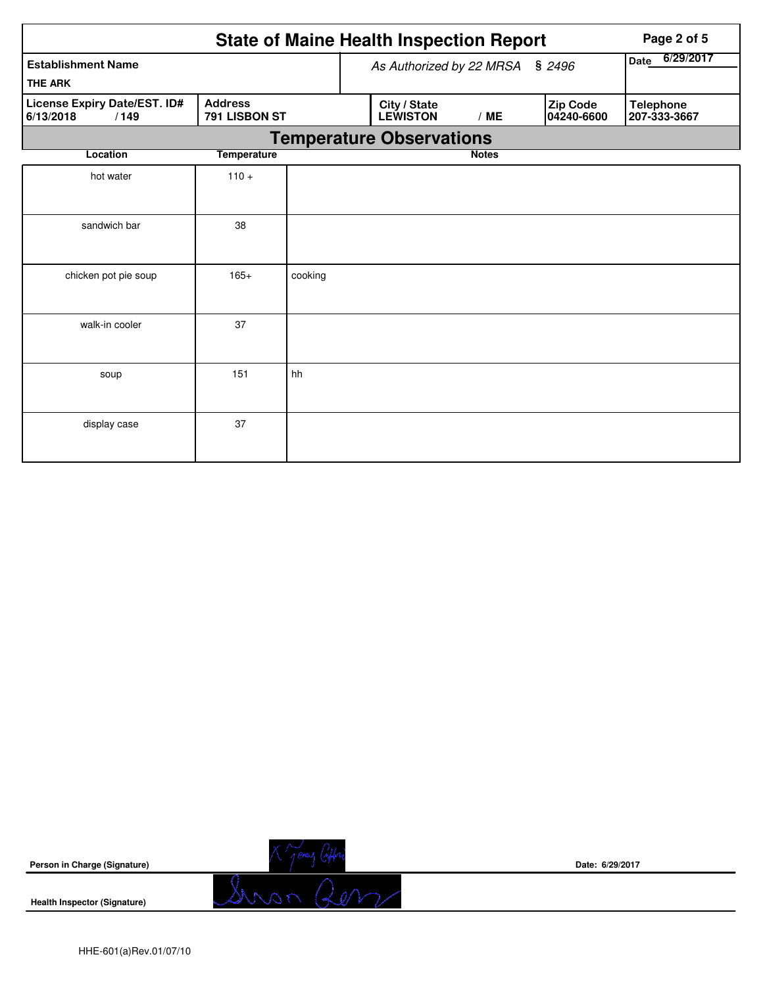|                                                   | Page 2 of 5                     |         |  |                                 |                   |  |                        |                                  |  |
|---------------------------------------------------|---------------------------------|---------|--|---------------------------------|-------------------|--|------------------------|----------------------------------|--|
| <b>Establishment Name</b>                         |                                 |         |  | As Authorized by 22 MRSA        | 6/29/2017<br>Date |  |                        |                                  |  |
| <b>THE ARK</b>                                    |                                 |         |  |                                 |                   |  |                        |                                  |  |
| License Expiry Date/EST. ID#<br>6/13/2018<br>/149 | <b>Address</b><br>791 LISBON ST |         |  | City / State<br><b>LEWISTON</b> | /ME               |  | Zip Code<br>04240-6600 | <b>Telephone</b><br>207-333-3667 |  |
| <b>Temperature Observations</b>                   |                                 |         |  |                                 |                   |  |                        |                                  |  |
| Location                                          | <b>Temperature</b>              |         |  |                                 | <b>Notes</b>      |  |                        |                                  |  |
| hot water                                         | $110 +$                         |         |  |                                 |                   |  |                        |                                  |  |
| sandwich bar                                      | 38                              |         |  |                                 |                   |  |                        |                                  |  |
| chicken pot pie soup                              | $165+$                          | cooking |  |                                 |                   |  |                        |                                  |  |
| walk-in cooler                                    | 37                              |         |  |                                 |                   |  |                        |                                  |  |
| soup                                              | 151                             | hh      |  |                                 |                   |  |                        |                                  |  |
| display case                                      | 37                              |         |  |                                 |                   |  |                        |                                  |  |



**Health Inspector (Signature)** 



**Date: 6/29/2017**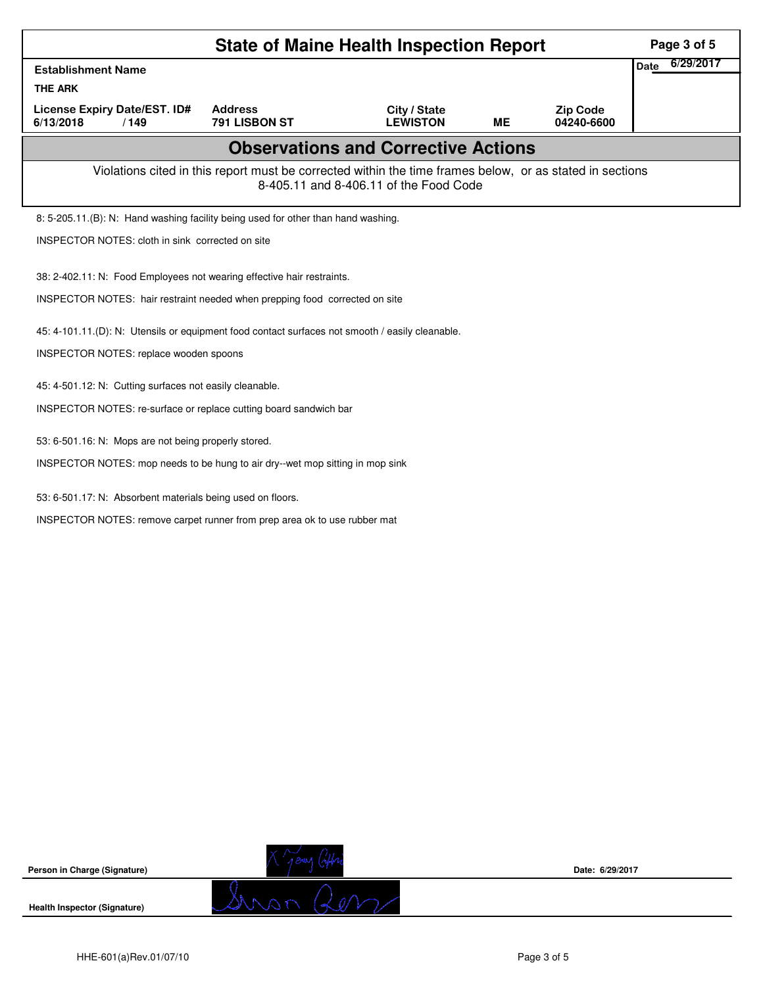| <b>State of Maine Health Inspection Report</b>                                                  |                                                                                                          |                                            |    |                               |                          |  |  |
|-------------------------------------------------------------------------------------------------|----------------------------------------------------------------------------------------------------------|--------------------------------------------|----|-------------------------------|--------------------------|--|--|
| <b>Establishment Name</b>                                                                       |                                                                                                          |                                            |    |                               | 6/29/2017<br><b>Date</b> |  |  |
| <b>THE ARK</b>                                                                                  |                                                                                                          |                                            |    |                               |                          |  |  |
| License Expiry Date/EST. ID#<br>6/13/2018<br>/149                                               | <b>Address</b><br>791 LISBON ST                                                                          | City / State<br><b>LEWISTON</b>            | ME | <b>Zip Code</b><br>04240-6600 |                          |  |  |
|                                                                                                 |                                                                                                          | <b>Observations and Corrective Actions</b> |    |                               |                          |  |  |
|                                                                                                 | Violations cited in this report must be corrected within the time frames below, or as stated in sections | 8-405.11 and 8-406.11 of the Food Code     |    |                               |                          |  |  |
| 8: 5-205.11.(B): N: Hand washing facility being used for other than hand washing.               |                                                                                                          |                                            |    |                               |                          |  |  |
| <b>INSPECTOR NOTES: cloth in sink corrected on site</b>                                         |                                                                                                          |                                            |    |                               |                          |  |  |
| 38: 2-402.11: N: Food Employees not wearing effective hair restraints.                          |                                                                                                          |                                            |    |                               |                          |  |  |
| INSPECTOR NOTES: hair restraint needed when prepping food corrected on site                     |                                                                                                          |                                            |    |                               |                          |  |  |
|                                                                                                 |                                                                                                          |                                            |    |                               |                          |  |  |
| 45: 4-101.11.(D): N: Utensils or equipment food contact surfaces not smooth / easily cleanable. |                                                                                                          |                                            |    |                               |                          |  |  |
| INSPECTOR NOTES: replace wooden spoons                                                          |                                                                                                          |                                            |    |                               |                          |  |  |
| 45: 4-501.12: N: Cutting surfaces not easily cleanable.                                         |                                                                                                          |                                            |    |                               |                          |  |  |
| INSPECTOR NOTES: re-surface or replace cutting board sandwich bar                               |                                                                                                          |                                            |    |                               |                          |  |  |
| 53: 6-501.16: N: Mops are not being properly stored.                                            |                                                                                                          |                                            |    |                               |                          |  |  |
| INSPECTOR NOTES: mop needs to be hung to air dry--wet mop sitting in mop sink                   |                                                                                                          |                                            |    |                               |                          |  |  |
| 53: 6-501.17: N: Absorbent materials being used on floors.                                      |                                                                                                          |                                            |    |                               |                          |  |  |
| INSPECTOR NOTES: remove carpet runner from prep area ok to use rubber mat                       |                                                                                                          |                                            |    |                               |                          |  |  |
|                                                                                                 |                                                                                                          |                                            |    |                               |                          |  |  |
|                                                                                                 |                                                                                                          |                                            |    |                               |                          |  |  |
|                                                                                                 |                                                                                                          |                                            |    |                               |                          |  |  |
|                                                                                                 |                                                                                                          |                                            |    |                               |                          |  |  |
|                                                                                                 |                                                                                                          |                                            |    |                               |                          |  |  |
|                                                                                                 |                                                                                                          |                                            |    |                               |                          |  |  |
|                                                                                                 |                                                                                                          |                                            |    |                               |                          |  |  |
|                                                                                                 |                                                                                                          |                                            |    |                               |                          |  |  |

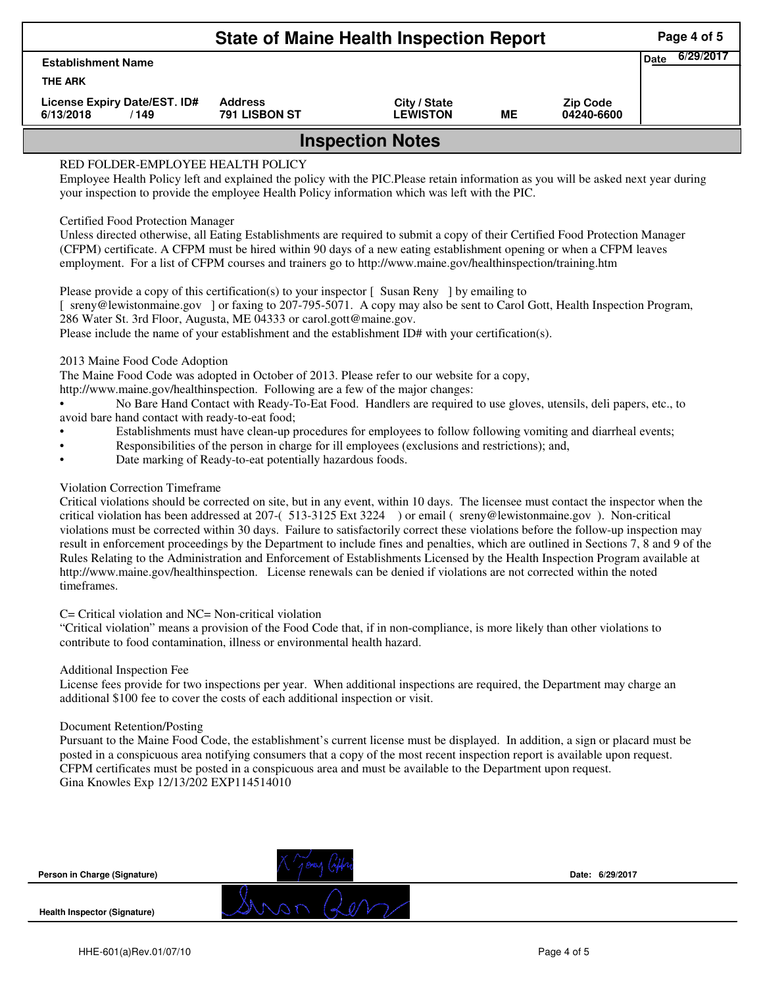| <b>State of Maine Health Inspection Report</b>                                                                                                                          |                                        |                                 |    |                               |  |  |  |  |  |  |
|-------------------------------------------------------------------------------------------------------------------------------------------------------------------------|----------------------------------------|---------------------------------|----|-------------------------------|--|--|--|--|--|--|
| <b>Establishment Name</b>                                                                                                                                               |                                        |                                 |    |                               |  |  |  |  |  |  |
| <b>THE ARK</b>                                                                                                                                                          |                                        |                                 |    |                               |  |  |  |  |  |  |
| License Expiry Date/EST. ID#<br>6/13/2018<br>/149                                                                                                                       | <b>Address</b><br><b>791 LISBON ST</b> | City / State<br><b>_EWISTON</b> | ME | <b>Zip Code</b><br>04240-6600 |  |  |  |  |  |  |
| <b>Inspection Notes</b>                                                                                                                                                 |                                        |                                 |    |                               |  |  |  |  |  |  |
| RED FOLDER-EMPLOYEE HEALTH POLICY<br>Employee Health Policy left and explained the policy with the PIC. Please retain information as you will be asked next year during |                                        |                                 |    |                               |  |  |  |  |  |  |
| your inspection to provide the employee Health Policy information which was left with the PIC.                                                                          |                                        |                                 |    |                               |  |  |  |  |  |  |

# Certified Food Protection Manager

Unless directed otherwise, all Eating Establishments are required to submit a copy of their Certified Food Protection Manager (CFPM) certificate. A CFPM must be hired within 90 days of a new eating establishment opening or when a CFPM leaves employment. For a list of CFPM courses and trainers go to http://www.maine.gov/healthinspection/training.htm

Please provide a copy of this certification(s) to your inspector [Susan Reny ] by emailing to [ sreny@lewistonmaine.gov ] or faxing to 207-795-5071. A copy may also be sent to Carol Gott, Health Inspection Program, 286 Water St. 3rd Floor, Augusta, ME 04333 or carol.gott@maine.gov. Please include the name of your establishment and the establishment ID# with your certification(s).

2013 Maine Food Code Adoption

The Maine Food Code was adopted in October of 2013. Please refer to our website for a copy,

http://www.maine.gov/healthinspection. Following are a few of the major changes:

• No Bare Hand Contact with Ready-To-Eat Food. Handlers are required to use gloves, utensils, deli papers, etc., to avoid bare hand contact with ready-to-eat food;

- Establishments must have clean-up procedures for employees to follow following vomiting and diarrheal events;
- Responsibilities of the person in charge for ill employees (exclusions and restrictions); and,
- Date marking of Ready-to-eat potentially hazardous foods.

# Violation Correction Timeframe

Critical violations should be corrected on site, but in any event, within 10 days. The licensee must contact the inspector when the critical violation has been addressed at 207-( 513-3125 Ext 3224 ) or email ( sreny@lewistonmaine.gov ). Non-critical violations must be corrected within 30 days. Failure to satisfactorily correct these violations before the follow-up inspection may result in enforcement proceedings by the Department to include fines and penalties, which are outlined in Sections 7, 8 and 9 of the Rules Relating to the Administration and Enforcement of Establishments Licensed by the Health Inspection Program available at http://www.maine.gov/healthinspection. License renewals can be denied if violations are not corrected within the noted timeframes.

# C= Critical violation and NC= Non-critical violation

"Critical violation" means a provision of the Food Code that, if in non-compliance, is more likely than other violations to contribute to food contamination, illness or environmental health hazard.

## Additional Inspection Fee

License fees provide for two inspections per year. When additional inspections are required, the Department may charge an additional \$100 fee to cover the costs of each additional inspection or visit.

# Document Retention/Posting

Pursuant to the Maine Food Code, the establishment's current license must be displayed. In addition, a sign or placard must be posted in a conspicuous area notifying consumers that a copy of the most recent inspection report is available upon request. CFPM certificates must be posted in a conspicuous area and must be available to the Department upon request. Gina Knowles Exp 12/13/202 EXP114514010